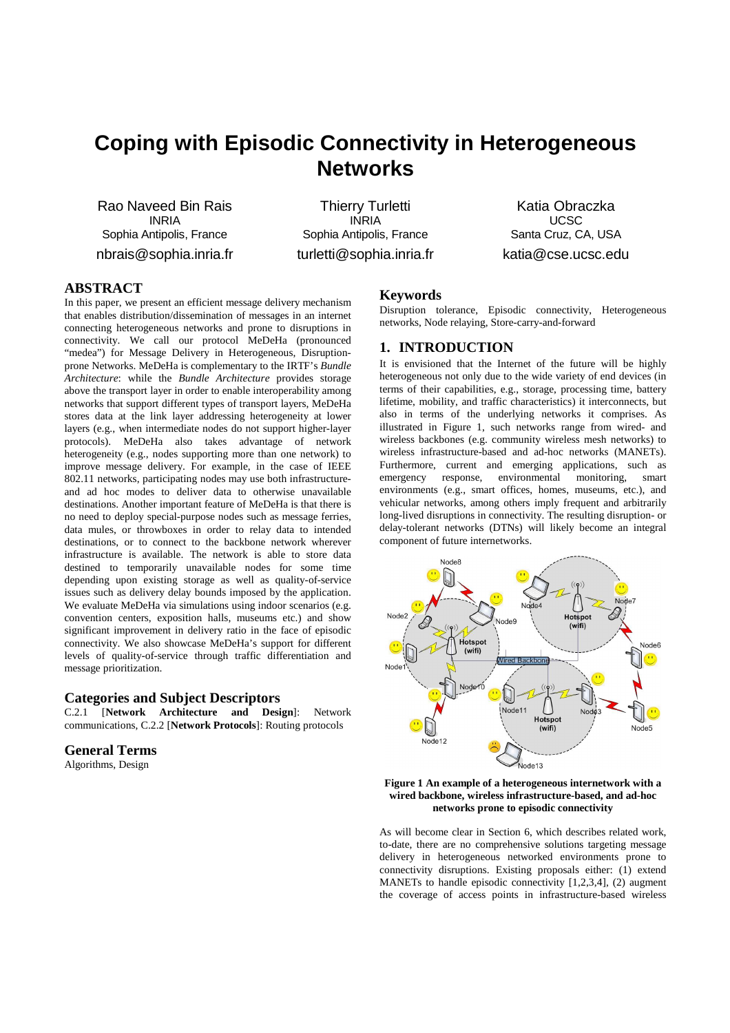# **Coping with Episodic Connectivity in Heterogeneous Networks**

Rao Naveed Bin Rais INRIA Sophia Antipolis, France nbrais@sophia.inria.fr

Thierry Turletti INRIA Sophia Antipolis, France turletti@sophia.inria.fr

Katia Obraczka UCSC Santa Cruz, CA, USA katia@cse.ucsc.edu

# **ABSTRACT**

In this paper, we present an efficient message delivery mechanism that enables distribution/dissemination of messages in an internet connecting heterogeneous networks and prone to disruptions in connectivity. We call our protocol MeDeHa (pronounced "medea") for Message Delivery in Heterogeneous, Disruptionprone Networks. MeDeHa is complementary to the IRTF's *Bundle Architecture*: while the *Bundle Architecture* provides storage above the transport layer in order to enable interoperability among networks that support different types of transport layers, MeDeHa stores data at the link layer addressing heterogeneity at lower layers (e.g., when intermediate nodes do not support higher-layer protocols). MeDeHa also takes advantage of network heterogeneity (e.g., nodes supporting more than one network) to improve message delivery. For example, in the case of IEEE 802.11 networks, participating nodes may use both infrastructureand ad hoc modes to deliver data to otherwise unavailable destinations. Another important feature of MeDeHa is that there is no need to deploy special-purpose nodes such as message ferries, data mules, or throwboxes in order to relay data to intended destinations, or to connect to the backbone network wherever infrastructure is available. The network is able to store data destined to temporarily unavailable nodes for some time depending upon existing storage as well as quality-of-service issues such as delivery delay bounds imposed by the application. We evaluate MeDeHa via simulations using indoor scenarios (e.g. convention centers, exposition halls, museums etc.) and show significant improvement in delivery ratio in the face of episodic connectivity. We also showcase MeDeHa's support for different levels of quality-of-service through traffic differentiation and message prioritization.

#### **Categories and Subject Descriptors**

C.2.1 [**Network Architecture and Design**]: Network communications, C.2.2 [**Network Protocols**]: Routing protocols

#### **General Terms**

Algorithms, Design

# **Keywords**

Disruption tolerance, Episodic connectivity, Heterogeneous networks, Node relaying, Store-carry-and-forward

## **1. INTRODUCTION**

It is envisioned that the Internet of the future will be highly heterogeneous not only due to the wide variety of end devices (in terms of their capabilities, e.g., storage, processing time, battery lifetime, mobility, and traffic characteristics) it interconnects, but also in terms of the underlying networks it comprises. As illustrated in Figure 1, such networks range from wired- and wireless backbones (e.g. community wireless mesh networks) to wireless infrastructure-based and ad-hoc networks (MANETs). Furthermore, current and emerging applications, such as emergency response, environmental monitoring, smart environments (e.g., smart offices, homes, museums, etc.), and vehicular networks, among others imply frequent and arbitrarily long-lived disruptions in connectivity. The resulting disruption- or delay-tolerant networks (DTNs) will likely become an integral component of future internetworks.



**Figure 1 An example of a heterogeneous internetwork with a wired backbone, wireless infrastructure-based, and ad-hoc networks prone to episodic connectivity** 

As will become clear in Section 6, which describes related work, to-date, there are no comprehensive solutions targeting message delivery in heterogeneous networked environments prone to connectivity disruptions. Existing proposals either: (1) extend MANETs to handle episodic connectivity [1,2,3,4], (2) augment the coverage of access points in infrastructure-based wireless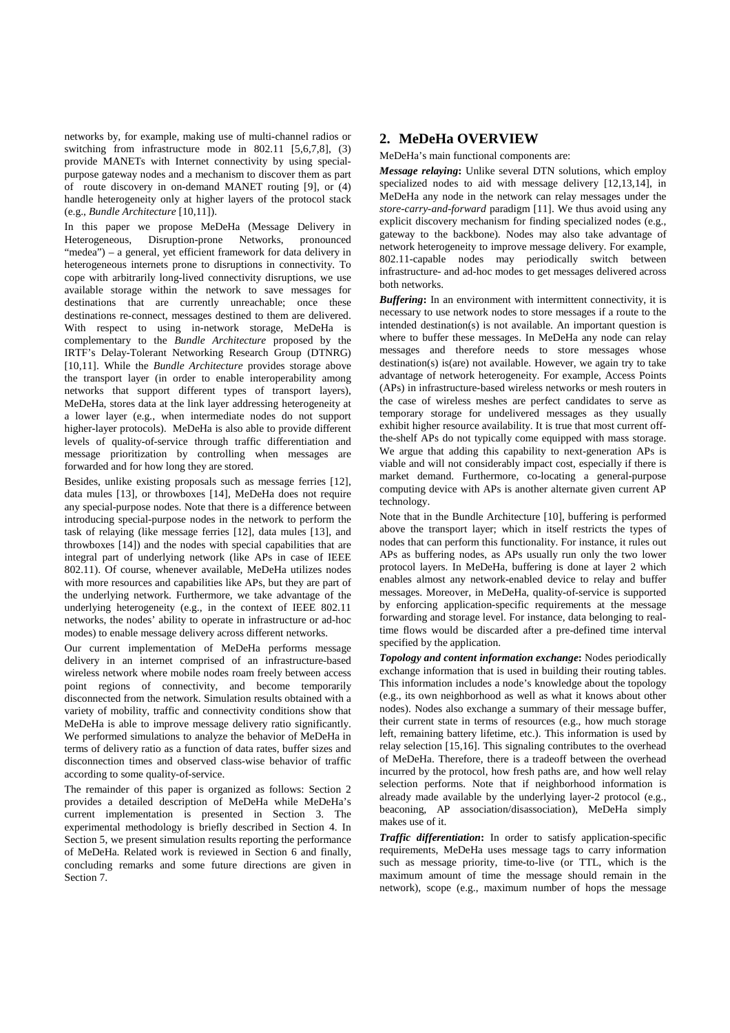networks by, for example, making use of multi-channel radios or switching from infrastructure mode in 802.11 [5,6.7.8], (3) provide MANETs with Internet connectivity by using specialpurpose gateway nodes and a mechanism to discover them as part of route discovery in on-demand MANET routing [9], or (4) handle heterogeneity only at higher layers of the protocol stack (e.g., *Bundle Architecture* [10,11]).

In this paper we propose MeDeHa (Message Delivery in Heterogeneous, Disruption-prone Networks, pronounced "medea") – a general, yet efficient framework for data delivery in heterogeneous internets prone to disruptions in connectivity. To cope with arbitrarily long-lived connectivity disruptions, we use available storage within the network to save messages for destinations that are currently unreachable; once these destinations re-connect, messages destined to them are delivered. With respect to using in-network storage, MeDeHa is complementary to the *Bundle Architecture* proposed by the IRTF's Delay-Tolerant Networking Research Group (DTNRG) [10,11]. While the *Bundle Architecture* provides storage above the transport layer (in order to enable interoperability among networks that support different types of transport layers), MeDeHa, stores data at the link layer addressing heterogeneity at a lower layer (e.g., when intermediate nodes do not support higher-layer protocols). MeDeHa is also able to provide different levels of quality-of-service through traffic differentiation and message prioritization by controlling when messages are forwarded and for how long they are stored.

Besides, unlike existing proposals such as message ferries [12], data mules [13], or throwboxes [14], MeDeHa does not require any special-purpose nodes. Note that there is a difference between introducing special-purpose nodes in the network to perform the task of relaying (like message ferries [12], data mules [13], and throwboxes [14]) and the nodes with special capabilities that are integral part of underlying network (like APs in case of IEEE 802.11). Of course, whenever available, MeDeHa utilizes nodes with more resources and capabilities like APs, but they are part of the underlying network. Furthermore, we take advantage of the underlying heterogeneity (e.g., in the context of IEEE 802.11 networks, the nodes' ability to operate in infrastructure or ad-hoc modes) to enable message delivery across different networks.

Our current implementation of MeDeHa performs message delivery in an internet comprised of an infrastructure-based wireless network where mobile nodes roam freely between access point regions of connectivity, and become temporarily disconnected from the network. Simulation results obtained with a variety of mobility, traffic and connectivity conditions show that MeDeHa is able to improve message delivery ratio significantly. We performed simulations to analyze the behavior of MeDeHa in terms of delivery ratio as a function of data rates, buffer sizes and disconnection times and observed class-wise behavior of traffic according to some quality-of-service.

The remainder of this paper is organized as follows: Section 2 provides a detailed description of MeDeHa while MeDeHa's current implementation is presented in Section 3. The experimental methodology is briefly described in Section 4. In Section 5, we present simulation results reporting the performance of MeDeHa. Related work is reviewed in Section 6 and finally, concluding remarks and some future directions are given in Section 7.

## **2. MeDeHa OVERVIEW**

MeDeHa's main functional components are:

*Message relaying***:** Unlike several DTN solutions, which employ specialized nodes to aid with message delivery [12,13,14], in MeDeHa any node in the network can relay messages under the *store-carry-and-forward* paradigm [11]. We thus avoid using any explicit discovery mechanism for finding specialized nodes (e.g., gateway to the backbone). Nodes may also take advantage of network heterogeneity to improve message delivery. For example, 802.11-capable nodes may periodically switch between infrastructure- and ad-hoc modes to get messages delivered across both networks.

*Buffering***:** In an environment with intermittent connectivity, it is necessary to use network nodes to store messages if a route to the intended destination(s) is not available. An important question is where to buffer these messages. In MeDeHa any node can relay messages and therefore needs to store messages whose destination(s) is(are) not available. However, we again try to take advantage of network heterogeneity. For example, Access Points (APs) in infrastructure-based wireless networks or mesh routers in the case of wireless meshes are perfect candidates to serve as temporary storage for undelivered messages as they usually exhibit higher resource availability. It is true that most current offthe-shelf APs do not typically come equipped with mass storage. We argue that adding this capability to next-generation APs is viable and will not considerably impact cost, especially if there is market demand. Furthermore, co-locating a general-purpose computing device with APs is another alternate given current AP technology.

Note that in the Bundle Architecture [10], buffering is performed above the transport layer; which in itself restricts the types of nodes that can perform this functionality. For instance, it rules out APs as buffering nodes, as APs usually run only the two lower protocol layers. In MeDeHa, buffering is done at layer 2 which enables almost any network-enabled device to relay and buffer messages. Moreover, in MeDeHa, quality-of-service is supported by enforcing application-specific requirements at the message forwarding and storage level. For instance, data belonging to realtime flows would be discarded after a pre-defined time interval specified by the application.

*Topology and content information exchange***:** Nodes periodically exchange information that is used in building their routing tables. This information includes a node's knowledge about the topology (e.g., its own neighborhood as well as what it knows about other nodes). Nodes also exchange a summary of their message buffer, their current state in terms of resources (e.g., how much storage left, remaining battery lifetime, etc.). This information is used by relay selection [15,16]. This signaling contributes to the overhead of MeDeHa. Therefore, there is a tradeoff between the overhead incurred by the protocol, how fresh paths are, and how well relay selection performs. Note that if neighborhood information is already made available by the underlying layer-2 protocol (e.g., beaconing, AP association/disassociation), MeDeHa simply makes use of it.

*Traffic differentiation***:** In order to satisfy application-specific requirements, MeDeHa uses message tags to carry information such as message priority, time-to-live (or TTL, which is the maximum amount of time the message should remain in the network), scope (e.g., maximum number of hops the message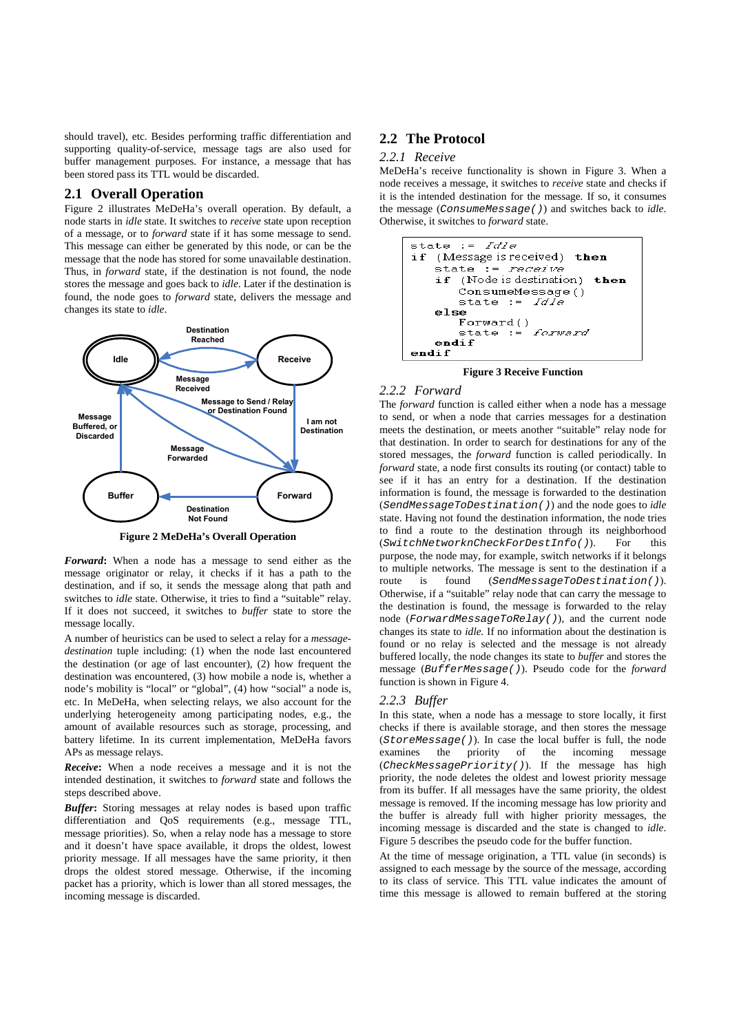should travel), etc. Besides performing traffic differentiation and supporting quality-of-service, message tags are also used for buffer management purposes. For instance, a message that has been stored pass its TTL would be discarded.

## **2.1 Overall Operation**

Figure 2 illustrates MeDeHa's overall operation. By default, a node starts in *idle* state. It switches to *receive* state upon reception of a message, or to *forward* state if it has some message to send. This message can either be generated by this node, or can be the message that the node has stored for some unavailable destination. Thus, in *forward* state, if the destination is not found, the node stores the message and goes back to *idle*. Later if the destination is found, the node goes to *forward* state, delivers the message and changes its state to *idle*.



**Figure 2 MeDeHa's Overall Operation** 

*Forward***:** When a node has a message to send either as the message originator or relay, it checks if it has a path to the destination, and if so, it sends the message along that path and switches to *idle* state. Otherwise, it tries to find a "suitable" relay. If it does not succeed, it switches to *buffer* state to store the message locally.

A number of heuristics can be used to select a relay for a *messagedestination* tuple including: (1) when the node last encountered the destination (or age of last encounter), (2) how frequent the destination was encountered, (3) how mobile a node is, whether a node's mobility is "local" or "global", (4) how "social" a node is, etc. In MeDeHa, when selecting relays, we also account for the underlying heterogeneity among participating nodes, e.g., the amount of available resources such as storage, processing, and battery lifetime. In its current implementation, MeDeHa favors APs as message relays.

*Receive***:** When a node receives a message and it is not the intended destination, it switches to *forward* state and follows the steps described above.

*Buffer***:** Storing messages at relay nodes is based upon traffic differentiation and  $\overline{Q_0}S$  requirements (e.g., message TTL, message priorities). So, when a relay node has a message to store and it doesn't have space available, it drops the oldest, lowest priority message. If all messages have the same priority, it then drops the oldest stored message. Otherwise, if the incoming packet has a priority, which is lower than all stored messages, the incoming message is discarded.

## **2.2 The Protocol**

#### *2.2.1 Receive*

MeDeHa's receive functionality is shown in Figure 3. When a node receives a message, it switches to *receive* state and checks if it is the intended destination for the message. If so, it consumes the message (ConsumeMessage()) and switches back to *idle*. Otherwise, it switches to *forward* state.



#### **Figure 3 Receive Function**

## *2.2.2 Forward*

The *forward* function is called either when a node has a message to send, or when a node that carries messages for a destination meets the destination, or meets another "suitable" relay node for that destination. In order to search for destinations for any of the stored messages, the *forward* function is called periodically. In *forward* state, a node first consults its routing (or contact) table to see if it has an entry for a destination. If the destination information is found, the message is forwarded to the destination (SendMessageToDestination()) and the node goes to *idle* state. Having not found the destination information, the node tries to find a route to the destination through its neighborhood (SwitchNetworknCheckForDestInfo()). For this purpose, the node may, for example, switch networks if it belongs to multiple networks. The message is sent to the destination if a route is found (SendMessageToDestination()). Otherwise, if a "suitable" relay node that can carry the message to the destination is found, the message is forwarded to the relay node (ForwardMessageToRelay()), and the current node changes its state to *idle.* If no information about the destination is found or no relay is selected and the message is not already buffered locally, the node changes its state to *buffer* and stores the message (BufferMessage()). Pseudo code for the *forward* function is shown in Figure 4.

#### *2.2.3 Buffer*

In this state, when a node has a message to store locally, it first checks if there is available storage, and then stores the message  $(StoreMessage()$ ). In case the local buffer is full, the node examines the priority of the incoming message examines the priority of the incoming message (CheckMessagePriority()). If the message has high priority, the node deletes the oldest and lowest priority message from its buffer. If all messages have the same priority, the oldest message is removed. If the incoming message has low priority and the buffer is already full with higher priority messages, the incoming message is discarded and the state is changed to *idle*. Figure 5 describes the pseudo code for the buffer function.

At the time of message origination, a TTL value (in seconds) is assigned to each message by the source of the message, according to its class of service. This TTL value indicates the amount of time this message is allowed to remain buffered at the storing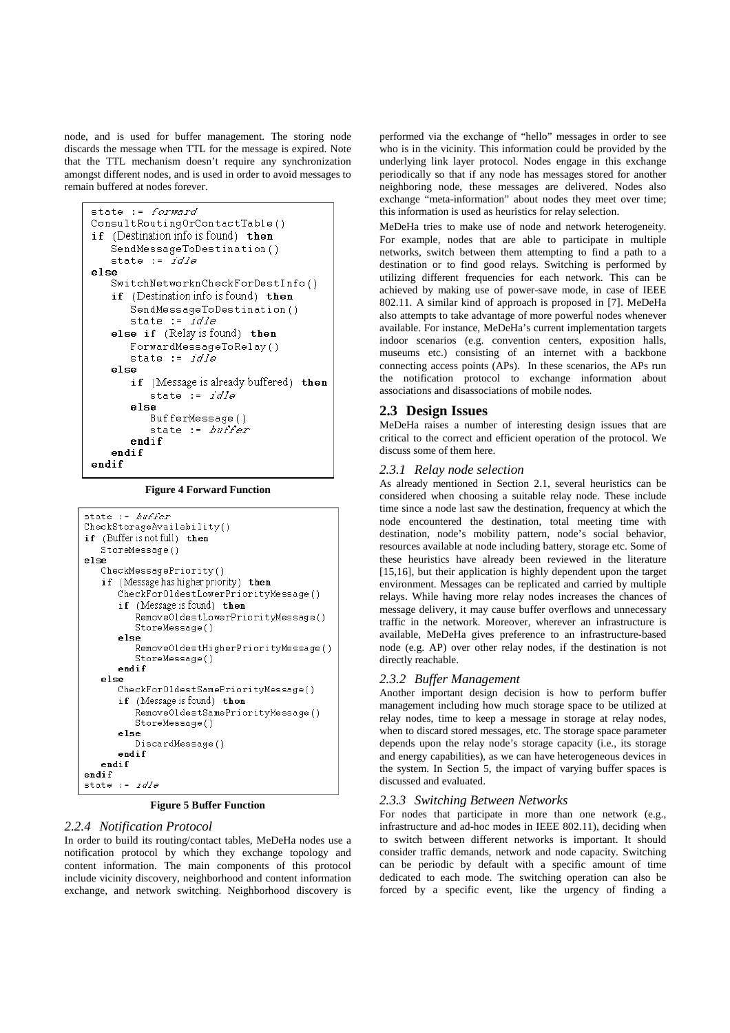node, and is used for buffer management. The storing node discards the message when TTL for the message is expired. Note that the TTL mechanism doesn't require any synchronization amongst different nodes, and is used in order to avoid messages to remain buffered at nodes forever.

```
state \cdot = forward
ConsultRoutingOrContactTable()
if (Destination info is found) then
   SendMessageToDestination()
   state := idIeelse
   SwitchNetworknCheckForDestInfo()
   if (Destination info is found) then
      SendMessageToDestination()
      state i = id/aelse if (Relay is found) then
      ForwardMessageToRelay()
      state := idIeelse
      if (Message is already buffered) then
         state := idIeelse
         BufferMessage()
         state := buffer
      endif
   endif
endif
```
**Figure 4 Forward Function** 

```
state := buffer
CheckStorageAvailability()
if (Buffer is not full) then
   StoreMessage()
else
   CheckMessagePriority()
   if (Message has higher priority) then
      CheckForOldestLowerPriorityMessage()
      if (Message is found) then
         Remove0ldestLowerPriorityMessage()
         StoreMessage()
      else
         RemoveOldestHigherPriorityMessage()
         StoreMessage()
      endif
   else
      CheckForOldestSamePriorityMessage()
      if (Message is found) then
         RemoveOldestSamePriorityMessage()
         StoreMessage()
      else
         DiscardMessage()
      endif
   endif
endif
state := idle
```
**Figure 5 Buffer Function** 

#### *2.2.4 Notification Protocol*

In order to build its routing/contact tables, MeDeHa nodes use a notification protocol by which they exchange topology and content information. The main components of this protocol include vicinity discovery, neighborhood and content information exchange, and network switching. Neighborhood discovery is performed via the exchange of "hello" messages in order to see who is in the vicinity. This information could be provided by the underlying link layer protocol. Nodes engage in this exchange periodically so that if any node has messages stored for another neighboring node, these messages are delivered. Nodes also exchange "meta-information" about nodes they meet over time; this information is used as heuristics for relay selection.

MeDeHa tries to make use of node and network heterogeneity. For example, nodes that are able to participate in multiple networks, switch between them attempting to find a path to a destination or to find good relays. Switching is performed by utilizing different frequencies for each network. This can be achieved by making use of power-save mode, in case of IEEE 802.11. A similar kind of approach is proposed in [7]. MeDeHa also attempts to take advantage of more powerful nodes whenever available. For instance, MeDeHa's current implementation targets indoor scenarios (e.g. convention centers, exposition halls, museums etc.) consisting of an internet with a backbone connecting access points (APs). In these scenarios, the APs run the notification protocol to exchange information about associations and disassociations of mobile nodes.

#### **2.3 Design Issues**

MeDeHa raises a number of interesting design issues that are critical to the correct and efficient operation of the protocol. We discuss some of them here.

#### *2.3.1 Relay node selection*

As already mentioned in Section 2.1, several heuristics can be considered when choosing a suitable relay node. These include time since a node last saw the destination, frequency at which the node encountered the destination, total meeting time with destination, node's mobility pattern, node's social behavior, resources available at node including battery, storage etc. Some of these heuristics have already been reviewed in the literature [15,16], but their application is highly dependent upon the target environment. Messages can be replicated and carried by multiple relays. While having more relay nodes increases the chances of message delivery, it may cause buffer overflows and unnecessary traffic in the network. Moreover, wherever an infrastructure is available, MeDeHa gives preference to an infrastructure-based node (e.g. AP) over other relay nodes, if the destination is not directly reachable.

#### *2.3.2 Buffer Management*

Another important design decision is how to perform buffer management including how much storage space to be utilized at relay nodes, time to keep a message in storage at relay nodes, when to discard stored messages, etc. The storage space parameter depends upon the relay node's storage capacity (i.e., its storage and energy capabilities), as we can have heterogeneous devices in the system. In Section 5, the impact of varying buffer spaces is discussed and evaluated.

#### *2.3.3 Switching Between Networks*

For nodes that participate in more than one network (e.g., infrastructure and ad-hoc modes in IEEE 802.11), deciding when to switch between different networks is important. It should consider traffic demands, network and node capacity. Switching can be periodic by default with a specific amount of time dedicated to each mode. The switching operation can also be forced by a specific event, like the urgency of finding a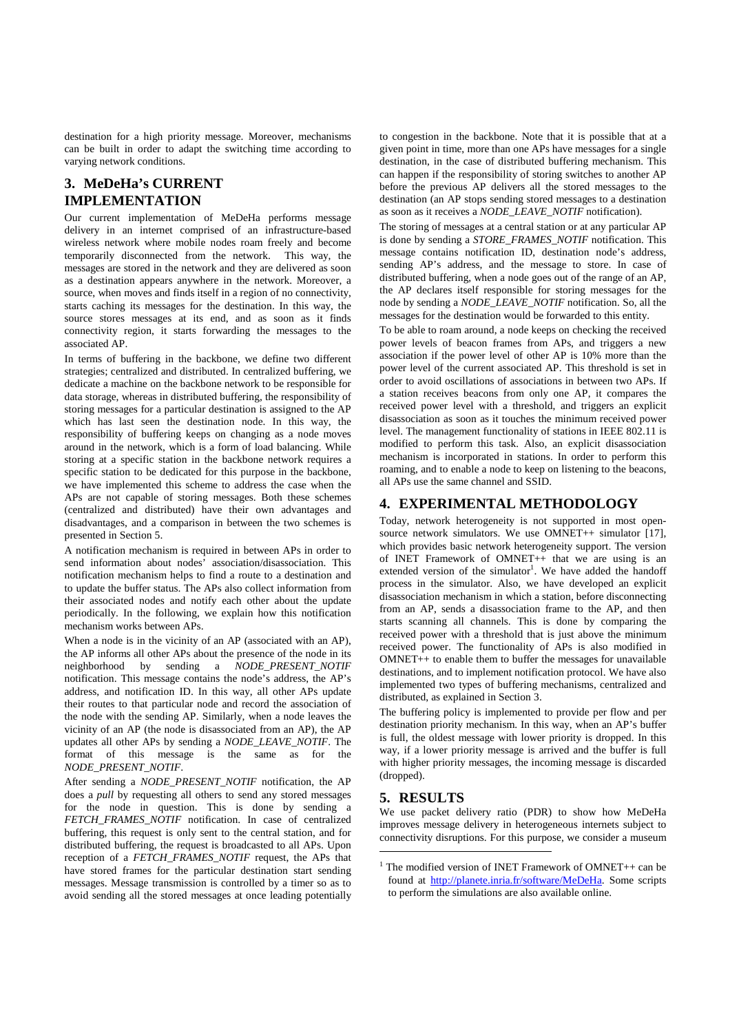destination for a high priority message. Moreover, mechanisms can be built in order to adapt the switching time according to varying network conditions.

# **3. MeDeHa's CURRENT IMPLEMENTATION**

Our current implementation of MeDeHa performs message delivery in an internet comprised of an infrastructure-based wireless network where mobile nodes roam freely and become temporarily disconnected from the network. This way, the messages are stored in the network and they are delivered as soon as a destination appears anywhere in the network. Moreover, a source, when moves and finds itself in a region of no connectivity, starts caching its messages for the destination. In this way, the source stores messages at its end, and as soon as it finds connectivity region, it starts forwarding the messages to the associated AP.

In terms of buffering in the backbone, we define two different strategies; centralized and distributed. In centralized buffering, we dedicate a machine on the backbone network to be responsible for data storage, whereas in distributed buffering, the responsibility of storing messages for a particular destination is assigned to the AP which has last seen the destination node. In this way, the responsibility of buffering keeps on changing as a node moves around in the network, which is a form of load balancing. While storing at a specific station in the backbone network requires a specific station to be dedicated for this purpose in the backbone, we have implemented this scheme to address the case when the APs are not capable of storing messages. Both these schemes (centralized and distributed) have their own advantages and disadvantages, and a comparison in between the two schemes is presented in Section 5.

A notification mechanism is required in between APs in order to send information about nodes' association/disassociation. This notification mechanism helps to find a route to a destination and to update the buffer status. The APs also collect information from their associated nodes and notify each other about the update periodically. In the following, we explain how this notification mechanism works between APs.

When a node is in the vicinity of an AP (associated with an AP), the AP informs all other APs about the presence of the node in its neighborhood by sending a *NODE\_PRESENT\_NOTIF* notification. This message contains the node's address, the AP's address, and notification ID. In this way, all other APs update their routes to that particular node and record the association of the node with the sending AP. Similarly, when a node leaves the vicinity of an AP (the node is disassociated from an AP), the AP updates all other APs by sending a *NODE\_LEAVE\_NOTIF*. The format of this message is the same as for the *NODE\_PRESENT\_NOTIF*.

After sending a *NODE\_PRESENT\_NOTIF* notification, the AP does a *pull* by requesting all others to send any stored messages for the node in question. This is done by sending a *FETCH\_FRAMES\_NOTIF* notification. In case of centralized buffering, this request is only sent to the central station, and for distributed buffering, the request is broadcasted to all APs. Upon reception of a *FETCH\_FRAMES\_NOTIF* request, the APs that have stored frames for the particular destination start sending messages. Message transmission is controlled by a timer so as to avoid sending all the stored messages at once leading potentially to congestion in the backbone. Note that it is possible that at a given point in time, more than one APs have messages for a single destination, in the case of distributed buffering mechanism. This can happen if the responsibility of storing switches to another AP before the previous AP delivers all the stored messages to the destination (an AP stops sending stored messages to a destination as soon as it receives a *NODE\_LEAVE\_NOTIF* notification).

The storing of messages at a central station or at any particular AP is done by sending a *STORE\_FRAMES\_NOTIF* notification. This message contains notification ID, destination node's address, sending AP's address, and the message to store. In case of distributed buffering, when a node goes out of the range of an AP, the AP declares itself responsible for storing messages for the node by sending a *NODE\_LEAVE\_NOTIF* notification. So, all the messages for the destination would be forwarded to this entity.

To be able to roam around, a node keeps on checking the received power levels of beacon frames from APs, and triggers a new association if the power level of other AP is 10% more than the power level of the current associated AP. This threshold is set in order to avoid oscillations of associations in between two APs. If a station receives beacons from only one AP, it compares the received power level with a threshold, and triggers an explicit disassociation as soon as it touches the minimum received power level. The management functionality of stations in IEEE 802.11 is modified to perform this task. Also, an explicit disassociation mechanism is incorporated in stations. In order to perform this roaming, and to enable a node to keep on listening to the beacons, all APs use the same channel and SSID.

## **4. EXPERIMENTAL METHODOLOGY**

Today, network heterogeneity is not supported in most opensource network simulators. We use OMNET++ simulator [17], which provides basic network heterogeneity support. The version of INET Framework of OMNET++ that we are using is an extended version of the simulator<sup>1</sup>. We have added the handoff process in the simulator. Also, we have developed an explicit disassociation mechanism in which a station, before disconnecting from an AP, sends a disassociation frame to the AP, and then starts scanning all channels. This is done by comparing the received power with a threshold that is just above the minimum received power. The functionality of APs is also modified in OMNET++ to enable them to buffer the messages for unavailable destinations, and to implement notification protocol. We have also implemented two types of buffering mechanisms, centralized and distributed, as explained in Section 3.

The buffering policy is implemented to provide per flow and per destination priority mechanism. In this way, when an AP's buffer is full, the oldest message with lower priority is dropped. In this way, if a lower priority message is arrived and the buffer is full with higher priority messages, the incoming message is discarded (dropped).

## **5. RESULTS**

 $\overline{a}$ 

We use packet delivery ratio (PDR) to show how MeDeHa improves message delivery in heterogeneous internets subject to connectivity disruptions. For this purpose, we consider a museum

<sup>&</sup>lt;sup>1</sup> The modified version of INET Framework of OMNET++ can be found at http://planete.inria.fr/software/MeDeHa. Some scripts to perform the simulations are also available online.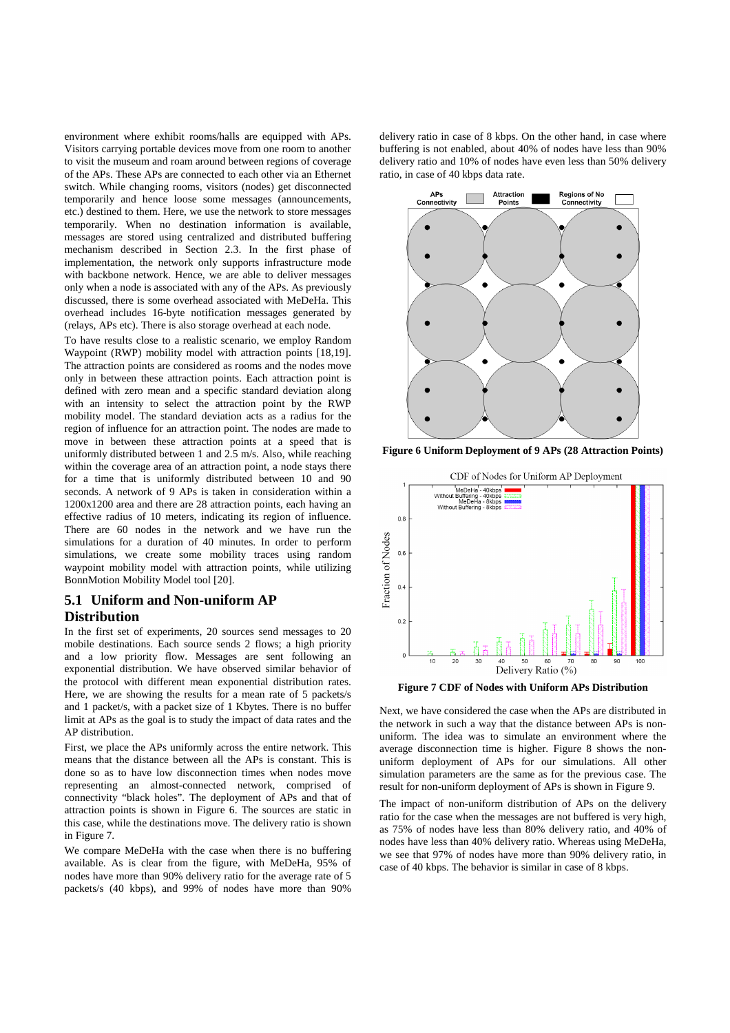environment where exhibit rooms/halls are equipped with APs. Visitors carrying portable devices move from one room to another to visit the museum and roam around between regions of coverage of the APs. These APs are connected to each other via an Ethernet switch. While changing rooms, visitors (nodes) get disconnected temporarily and hence loose some messages (announcements, etc.) destined to them. Here, we use the network to store messages temporarily. When no destination information is available, messages are stored using centralized and distributed buffering mechanism described in Section 2.3. In the first phase of implementation, the network only supports infrastructure mode with backbone network. Hence, we are able to deliver messages only when a node is associated with any of the APs. As previously discussed, there is some overhead associated with MeDeHa. This overhead includes 16-byte notification messages generated by (relays, APs etc). There is also storage overhead at each node.

To have results close to a realistic scenario, we employ Random Waypoint (RWP) mobility model with attraction points [18,19]. The attraction points are considered as rooms and the nodes move only in between these attraction points. Each attraction point is defined with zero mean and a specific standard deviation along with an intensity to select the attraction point by the RWP mobility model. The standard deviation acts as a radius for the region of influence for an attraction point. The nodes are made to move in between these attraction points at a speed that is uniformly distributed between 1 and 2.5 m/s. Also, while reaching within the coverage area of an attraction point, a node stays there for a time that is uniformly distributed between 10 and 90 seconds. A network of 9 APs is taken in consideration within a 1200x1200 area and there are 28 attraction points, each having an effective radius of 10 meters, indicating its region of influence. There are 60 nodes in the network and we have run the simulations for a duration of 40 minutes. In order to perform simulations, we create some mobility traces using random waypoint mobility model with attraction points, while utilizing BonnMotion Mobility Model tool [20].

## **5.1 Uniform and Non-uniform AP Distribution**

In the first set of experiments, 20 sources send messages to 20 mobile destinations. Each source sends 2 flows; a high priority and a low priority flow. Messages are sent following an exponential distribution. We have observed similar behavior of the protocol with different mean exponential distribution rates. Here, we are showing the results for a mean rate of 5 packets/s and 1 packet/s, with a packet size of 1 Kbytes. There is no buffer limit at APs as the goal is to study the impact of data rates and the AP distribution.

First, we place the APs uniformly across the entire network. This means that the distance between all the APs is constant. This is done so as to have low disconnection times when nodes move representing an almost-connected network, comprised of connectivity "black holes". The deployment of APs and that of attraction points is shown in Figure 6. The sources are static in this case, while the destinations move. The delivery ratio is shown in Figure 7.

We compare MeDeHa with the case when there is no buffering available. As is clear from the figure, with MeDeHa, 95% of nodes have more than 90% delivery ratio for the average rate of 5 packets/s (40 kbps), and 99% of nodes have more than 90%

delivery ratio in case of 8 kbps. On the other hand, in case where buffering is not enabled, about 40% of nodes have less than 90% delivery ratio and 10% of nodes have even less than 50% delivery ratio, in case of 40 kbps data rate.



**Figure 6 Uniform Deployment of 9 APs (28 Attraction Points)** 



**Figure 7 CDF of Nodes with Uniform APs Distribution**

Next, we have considered the case when the APs are distributed in the network in such a way that the distance between APs is nonuniform. The idea was to simulate an environment where the average disconnection time is higher. Figure 8 shows the nonuniform deployment of APs for our simulations. All other simulation parameters are the same as for the previous case. The result for non-uniform deployment of APs is shown in Figure 9.

The impact of non-uniform distribution of APs on the delivery ratio for the case when the messages are not buffered is very high, as 75% of nodes have less than 80% delivery ratio, and 40% of nodes have less than 40% delivery ratio. Whereas using MeDeHa, we see that 97% of nodes have more than 90% delivery ratio, in case of 40 kbps. The behavior is similar in case of 8 kbps.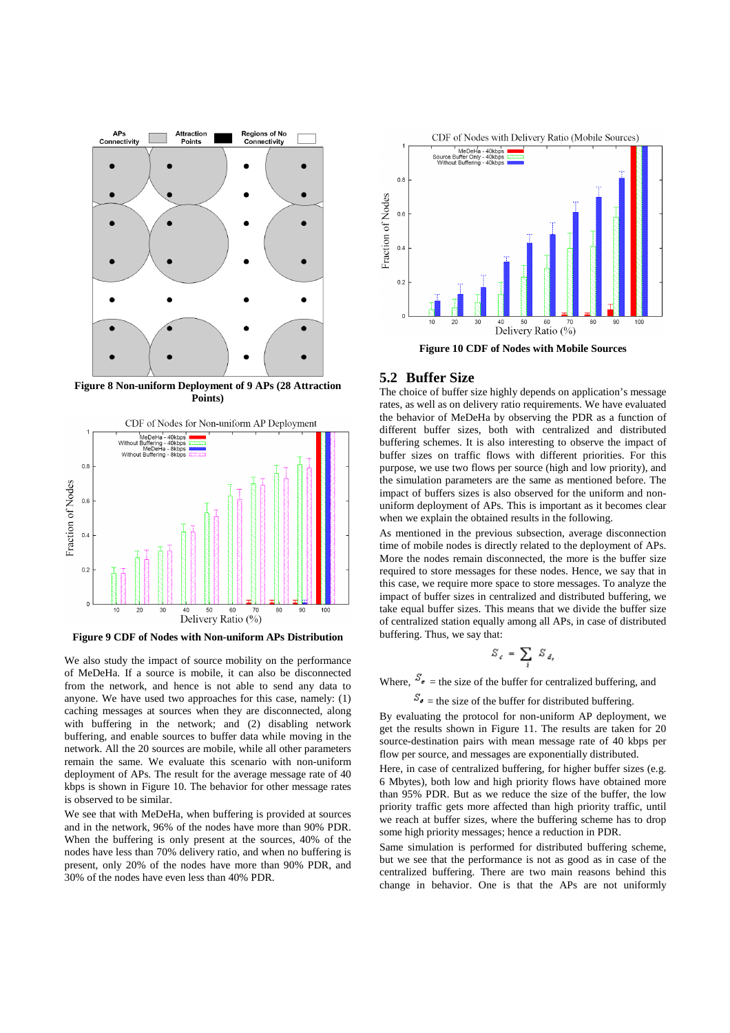

**Figure 8 Non-uniform Deployment of 9 APs (28 Attraction Points)** 



**Figure 9 CDF of Nodes with Non-uniform APs Distribution** 

We also study the impact of source mobility on the performance of MeDeHa. If a source is mobile, it can also be disconnected from the network, and hence is not able to send any data to anyone. We have used two approaches for this case, namely: (1) caching messages at sources when they are disconnected, along with buffering in the network; and (2) disabling network buffering, and enable sources to buffer data while moving in the network. All the 20 sources are mobile, while all other parameters remain the same. We evaluate this scenario with non-uniform deployment of APs. The result for the average message rate of 40 kbps is shown in Figure 10. The behavior for other message rates is observed to be similar.

We see that with MeDeHa, when buffering is provided at sources and in the network, 96% of the nodes have more than 90% PDR. When the buffering is only present at the sources, 40% of the nodes have less than 70% delivery ratio, and when no buffering is present, only 20% of the nodes have more than 90% PDR, and 30% of the nodes have even less than 40% PDR.



#### **5.2 Buffer Size**

The choice of buffer size highly depends on application's message rates, as well as on delivery ratio requirements. We have evaluated the behavior of MeDeHa by observing the PDR as a function of different buffer sizes, both with centralized and distributed buffering schemes. It is also interesting to observe the impact of buffer sizes on traffic flows with different priorities. For this purpose, we use two flows per source (high and low priority), and the simulation parameters are the same as mentioned before. The impact of buffers sizes is also observed for the uniform and nonuniform deployment of APs. This is important as it becomes clear when we explain the obtained results in the following.

As mentioned in the previous subsection, average disconnection time of mobile nodes is directly related to the deployment of APs. More the nodes remain disconnected, the more is the buffer size required to store messages for these nodes. Hence, we say that in this case, we require more space to store messages. To analyze the impact of buffer sizes in centralized and distributed buffering, we take equal buffer sizes. This means that we divide the buffer size of centralized station equally among all APs, in case of distributed buffering. Thus, we say that:

$$
S_c = \sum_i \; S_{d_i}
$$

Where,  $S_e$  = the size of the buffer for centralized buffering, and

 $S_{\theta}$  = the size of the buffer for distributed buffering.

By evaluating the protocol for non-uniform AP deployment, we get the results shown in Figure 11. The results are taken for 20 source-destination pairs with mean message rate of 40 kbps per flow per source, and messages are exponentially distributed.

Here, in case of centralized buffering, for higher buffer sizes (e.g. 6 Mbytes), both low and high priority flows have obtained more than 95% PDR. But as we reduce the size of the buffer, the low priority traffic gets more affected than high priority traffic, until we reach at buffer sizes, where the buffering scheme has to drop some high priority messages; hence a reduction in PDR.

Same simulation is performed for distributed buffering scheme, but we see that the performance is not as good as in case of the centralized buffering. There are two main reasons behind this change in behavior. One is that the APs are not uniformly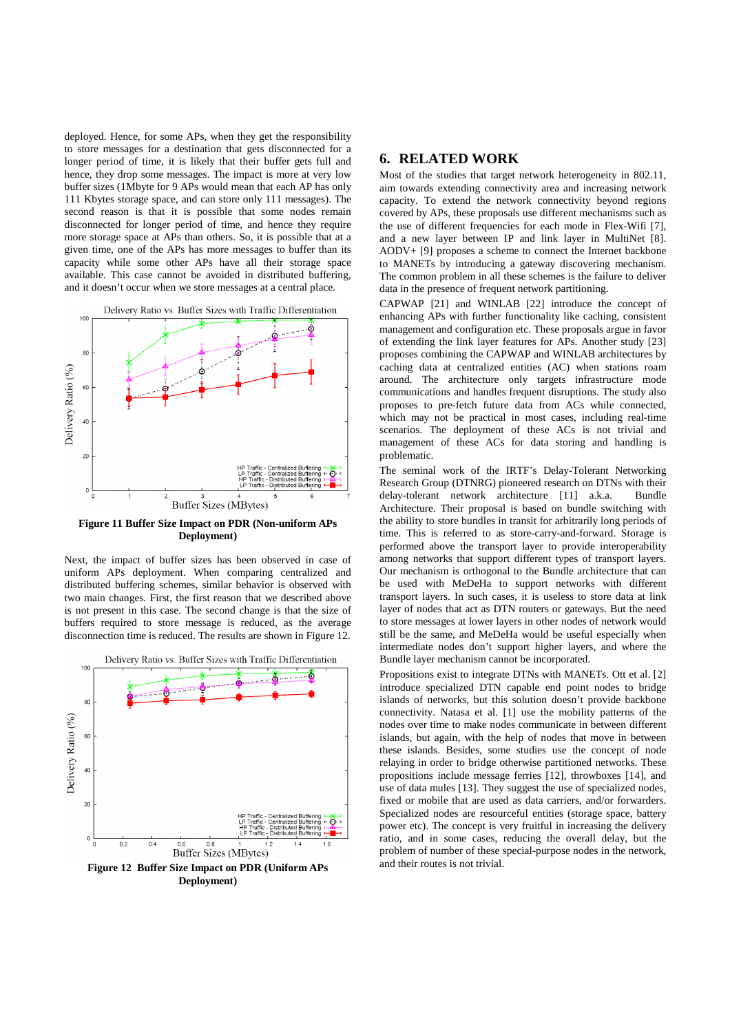deployed. Hence, for some APs, when they get the responsibility to store messages for a destination that gets disconnected for a longer period of time, it is likely that their buffer gets full and hence, they drop some messages. The impact is more at very low buffer sizes (1Mbyte for 9 APs would mean that each AP has only 111 Kbytes storage space, and can store only 111 messages). The second reason is that it is possible that some nodes remain disconnected for longer period of time, and hence they require more storage space at APs than others. So, it is possible that at a given time, one of the APs has more messages to buffer than its capacity while some other APs have all their storage space available. This case cannot be avoided in distributed buffering, and it doesn't occur when we store messages at a central place.



**Figure 11 Buffer Size Impact on PDR (Non-uniform APs Deployment)** 

Next, the impact of buffer sizes has been observed in case of uniform APs deployment. When comparing centralized and distributed buffering schemes, similar behavior is observed with two main changes. First, the first reason that we described above is not present in this case. The second change is that the size of buffers required to store message is reduced, as the average disconnection time is reduced. The results are shown in Figure 12.



## **6. RELATED WORK**

Most of the studies that target network heterogeneity in 802.11, aim towards extending connectivity area and increasing network capacity. To extend the network connectivity beyond regions covered by APs, these proposals use different mechanisms such as the use of different frequencies for each mode in Flex-Wifi [7], and a new layer between IP and link layer in MultiNet [8]. AODV+ [9] proposes a scheme to connect the Internet backbone to MANETs by introducing a gateway discovering mechanism. The common problem in all these schemes is the failure to deliver data in the presence of frequent network partitioning.

CAPWAP [21] and WINLAB [22] introduce the concept of enhancing APs with further functionality like caching, consistent management and configuration etc. These proposals argue in favor of extending the link layer features for APs. Another study [23] proposes combining the CAPWAP and WINLAB architectures by caching data at centralized entities (AC) when stations roam around. The architecture only targets infrastructure mode communications and handles frequent disruptions. The study also proposes to pre-fetch future data from ACs while connected, which may not be practical in most cases, including real-time scenarios. The deployment of these ACs is not trivial and management of these ACs for data storing and handling is problematic.

The seminal work of the IRTF's Delay-Tolerant Networking Research Group (DTNRG) pioneered research on DTNs with their delay-tolerant network architecture [11] a.k.a. Bundle Architecture. Their proposal is based on bundle switching with the ability to store bundles in transit for arbitrarily long periods of time. This is referred to as store-carry-and-forward. Storage is performed above the transport layer to provide interoperability among networks that support different types of transport layers. Our mechanism is orthogonal to the Bundle architecture that can be used with MeDeHa to support networks with different transport layers. In such cases, it is useless to store data at link layer of nodes that act as DTN routers or gateways. But the need to store messages at lower layers in other nodes of network would still be the same, and MeDeHa would be useful especially when intermediate nodes don't support higher layers, and where the Bundle layer mechanism cannot be incorporated.

Propositions exist to integrate DTNs with MANETs. Ott et al. [2] introduce specialized DTN capable end point nodes to bridge islands of networks, but this solution doesn't provide backbone connectivity. Natasa et al. [1] use the mobility patterns of the nodes over time to make nodes communicate in between different islands, but again, with the help of nodes that move in between these islands. Besides, some studies use the concept of node relaying in order to bridge otherwise partitioned networks. These propositions include message ferries [12], throwboxes [14], and use of data mules [13]. They suggest the use of specialized nodes, fixed or mobile that are used as data carriers, and/or forwarders. Specialized nodes are resourceful entities (storage space, battery power etc). The concept is very fruitful in increasing the delivery ratio, and in some cases, reducing the overall delay, but the problem of number of these special-purpose nodes in the network, and their routes is not trivial.